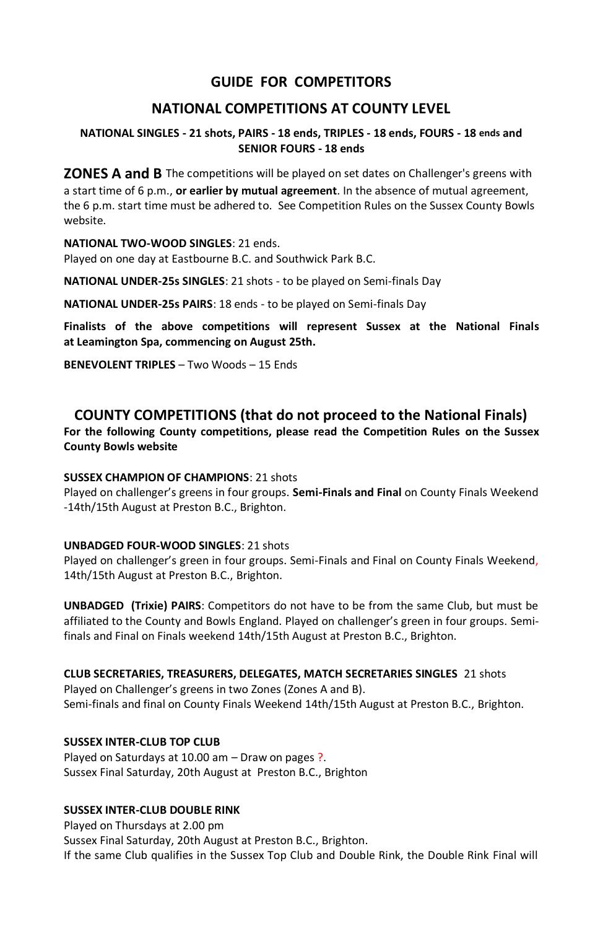# **GUIDE FOR COMPETITORS**

## **NATIONAL COMPETITIONS AT COUNTY LEVEL**

### **NATIONAL SINGLES - 21 shots, PAIRS - 18 ends, TRIPLES - 18 ends, FOURS - 18 ends and SENIOR FOURS - 18 ends**

**ZONES A and B** The competitions will be played on set dates on Challenger's greens with a start time of 6 p.m., **or earlier by mutual agreement**. In the absence of mutual agreement, the 6 p.m. start time must be adhered to. See Competition Rules on the Sussex County Bowls website.

#### **NATIONAL TWO-WOOD SINGLES**: 21 ends.

Played on one day at Eastbourne B.C. and Southwick Park B.C.

**NATIONAL UNDER-25s SINGLES**: 21 shots - to be played on Semi-finals Day

**NATIONAL UNDER-25s PAIRS**: 18 ends - to be played on Semi-finals Day

**Finalists of the above competitions will represent Sussex at the National Finals at Leamington Spa, commencing on August 25th.**

**BENEVOLENT TRIPLES** – Two Woods – 15 Ends

# **COUNTY COMPETITIONS (that do not proceed to the National Finals)**

**For the following County competitions, please read the Competition Rules on the Sussex County Bowls website**

### **SUSSEX CHAMPION OF CHAMPIONS**: 21 shots

Played on challenger's greens in four groups. **Semi-Finals and Final** on County Finals Weekend -14th/15th August at Preston B.C., Brighton.

### **UNBADGED FOUR-WOOD SINGLES**: 21 shots

Played on challenger's green in four groups. Semi-Finals and Final on County Finals Weekend, 14th/15th August at Preston B.C., Brighton.

**UNBADGED (Trixie) PAIRS**: Competitors do not have to be from the same Club, but must be affiliated to the County and Bowls England. Played on challenger's green in four groups. Semifinals and Final on Finals weekend 14th/15th August at Preston B.C., Brighton.

#### **CLUB SECRETARIES, TREASURERS, DELEGATES, MATCH SECRETARIES SINGLES** 21 shots

Played on Challenger's greens in two Zones (Zones A and B). Semi-finals and final on County Finals Weekend 14th/15th August at Preston B.C., Brighton.

## **SUSSEX INTER-CLUB TOP CLUB**

Played on Saturdays at 10.00 am – Draw on pages ?. Sussex Final Saturday, 20th August at Preston B.C., Brighton

### **SUSSEX INTER-CLUB DOUBLE RINK**

Played on Thursdays at 2.00 pm Sussex Final Saturday, 20th August at Preston B.C., Brighton. If the same Club qualifies in the Sussex Top Club and Double Rink, the Double Rink Final will